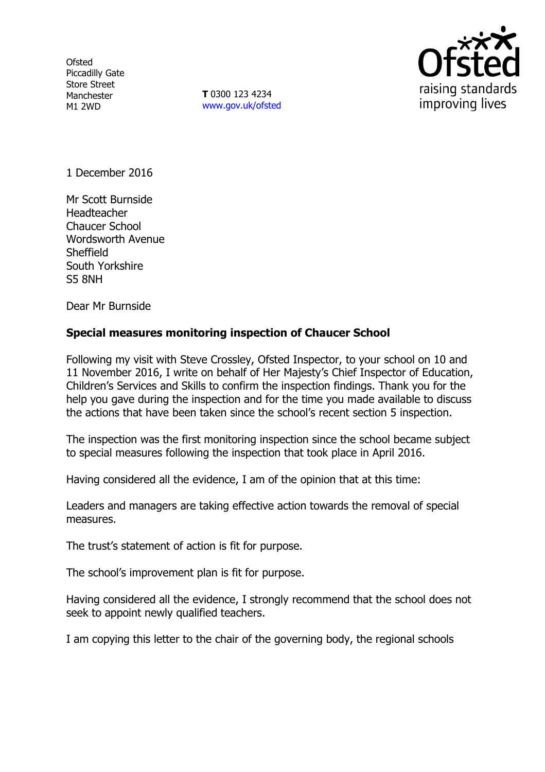**Ofsted** Piccadilly Gate Store Street Manchester M1 2WD

**T** 0300 123 4234 www.gov.uk/ofsted



1 December 2016

Mr Scott Burnside Headteacher Chaucer School Wordsworth Avenue **Sheffield** South Yorkshire S5 8NH

Dear Mr Burnside

## **Special measures monitoring inspection of Chaucer School**

Following my visit with Steve Crossley, Ofsted Inspector, to your school on 10 and 11 November 2016, I write on behalf of Her Majesty's Chief Inspector of Education, Children's Services and Skills to confirm the inspection findings. Thank you for the help you gave during the inspection and for the time you made available to discuss the actions that have been taken since the school's recent section 5 inspection.

The inspection was the first monitoring inspection since the school became subject to special measures following the inspection that took place in April 2016.

Having considered all the evidence, I am of the opinion that at this time:

Leaders and managers are taking effective action towards the removal of special measures.

The trust's statement of action is fit for purpose.

The school's improvement plan is fit for purpose.

Having considered all the evidence, I strongly recommend that the school does not seek to appoint newly qualified teachers.

I am copying this letter to the chair of the governing body, the regional schools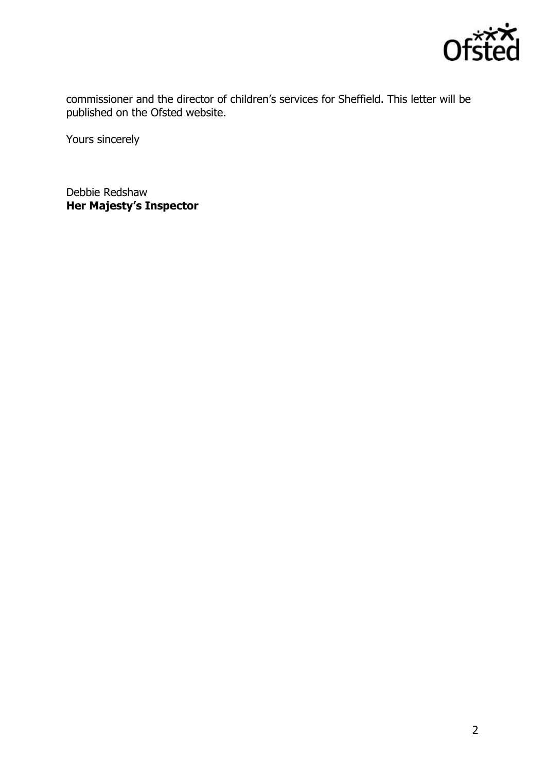

commissioner and the director of children's services for Sheffield. This letter will be published on the Ofsted website.

Yours sincerely

Debbie Redshaw **Her Majesty's Inspector**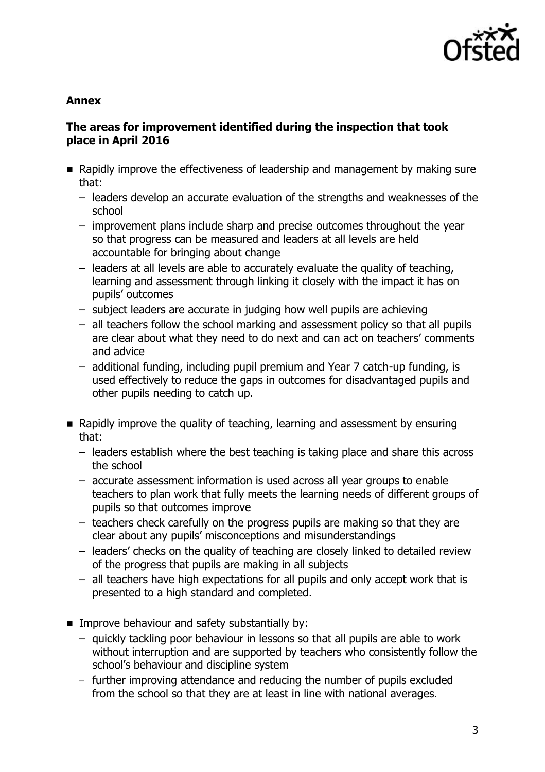

## **Annex**

# **The areas for improvement identified during the inspection that took place in April 2016**

- **E** Rapidly improve the effectiveness of leadership and management by making sure that:
	- leaders develop an accurate evaluation of the strengths and weaknesses of the school
	- improvement plans include sharp and precise outcomes throughout the year so that progress can be measured and leaders at all levels are held accountable for bringing about change
	- leaders at all levels are able to accurately evaluate the quality of teaching, learning and assessment through linking it closely with the impact it has on pupils' outcomes
	- subject leaders are accurate in judging how well pupils are achieving
	- all teachers follow the school marking and assessment policy so that all pupils are clear about what they need to do next and can act on teachers' comments and advice
	- additional funding, including pupil premium and Year 7 catch-up funding, is used effectively to reduce the gaps in outcomes for disadvantaged pupils and other pupils needing to catch up.
- **E** Rapidly improve the quality of teaching, learning and assessment by ensuring that:
	- leaders establish where the best teaching is taking place and share this across the school
	- accurate assessment information is used across all year groups to enable teachers to plan work that fully meets the learning needs of different groups of pupils so that outcomes improve
	- teachers check carefully on the progress pupils are making so that they are clear about any pupils' misconceptions and misunderstandings
	- leaders' checks on the quality of teaching are closely linked to detailed review of the progress that pupils are making in all subjects
	- all teachers have high expectations for all pupils and only accept work that is presented to a high standard and completed.
- **IMPROVE behaviour and safety substantially by:** 
	- quickly tackling poor behaviour in lessons so that all pupils are able to work without interruption and are supported by teachers who consistently follow the school's behaviour and discipline system
	- further improving attendance and reducing the number of pupils excluded from the school so that they are at least in line with national averages.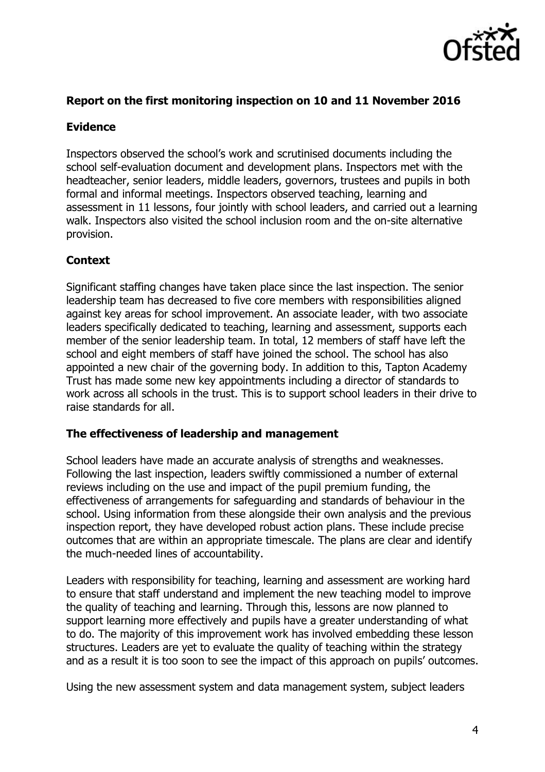

## **Report on the first monitoring inspection on 10 and 11 November 2016**

## **Evidence**

Inspectors observed the school's work and scrutinised documents including the school self-evaluation document and development plans. Inspectors met with the headteacher, senior leaders, middle leaders, governors, trustees and pupils in both formal and informal meetings. Inspectors observed teaching, learning and assessment in 11 lessons, four jointly with school leaders, and carried out a learning walk. Inspectors also visited the school inclusion room and the on-site alternative provision.

# **Context**

Significant staffing changes have taken place since the last inspection. The senior leadership team has decreased to five core members with responsibilities aligned against key areas for school improvement. An associate leader, with two associate leaders specifically dedicated to teaching, learning and assessment, supports each member of the senior leadership team. In total, 12 members of staff have left the school and eight members of staff have joined the school. The school has also appointed a new chair of the governing body. In addition to this, Tapton Academy Trust has made some new key appointments including a director of standards to work across all schools in the trust. This is to support school leaders in their drive to raise standards for all.

## **The effectiveness of leadership and management**

School leaders have made an accurate analysis of strengths and weaknesses. Following the last inspection, leaders swiftly commissioned a number of external reviews including on the use and impact of the pupil premium funding, the effectiveness of arrangements for safeguarding and standards of behaviour in the school. Using information from these alongside their own analysis and the previous inspection report, they have developed robust action plans. These include precise outcomes that are within an appropriate timescale. The plans are clear and identify the much-needed lines of accountability.

Leaders with responsibility for teaching, learning and assessment are working hard to ensure that staff understand and implement the new teaching model to improve the quality of teaching and learning. Through this, lessons are now planned to support learning more effectively and pupils have a greater understanding of what to do. The majority of this improvement work has involved embedding these lesson structures. Leaders are yet to evaluate the quality of teaching within the strategy and as a result it is too soon to see the impact of this approach on pupils' outcomes.

Using the new assessment system and data management system, subject leaders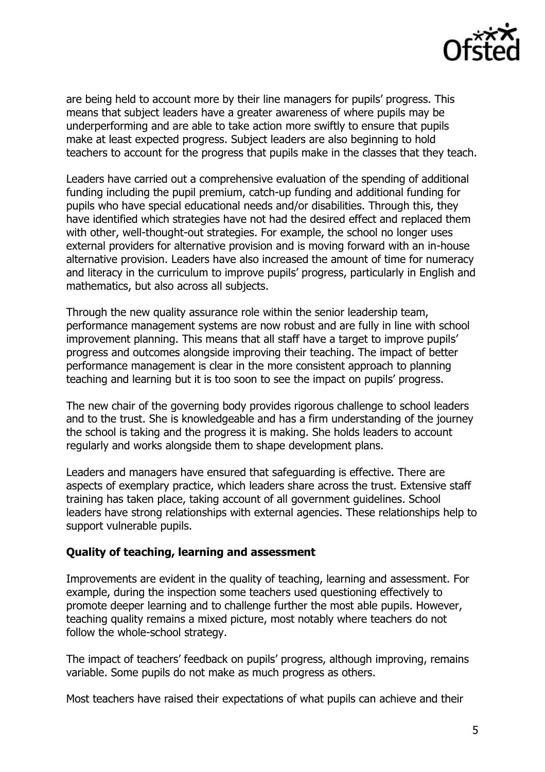

are being held to account more by their line managers for pupils' progress. This means that subject leaders have a greater awareness of where pupils may be underperforming and are able to take action more swiftly to ensure that pupils make at least expected progress. Subject leaders are also beginning to hold teachers to account for the progress that pupils make in the classes that they teach.

Leaders have carried out a comprehensive evaluation of the spending of additional funding including the pupil premium, catch-up funding and additional funding for pupils who have special educational needs and/or disabilities. Through this, they have identified which strategies have not had the desired effect and replaced them with other, well-thought-out strategies. For example, the school no longer uses external providers for alternative provision and is moving forward with an in-house alternative provision. Leaders have also increased the amount of time for numeracy and literacy in the curriculum to improve pupils' progress, particularly in English and mathematics, but also across all subjects.

Through the new quality assurance role within the senior leadership team, performance management systems are now robust and are fully in line with school improvement planning. This means that all staff have a target to improve pupils' progress and outcomes alongside improving their teaching. The impact of better performance management is clear in the more consistent approach to planning teaching and learning but it is too soon to see the impact on pupils' progress.

The new chair of the governing body provides rigorous challenge to school leaders and to the trust. She is knowledgeable and has a firm understanding of the journey the school is taking and the progress it is making. She holds leaders to account regularly and works alongside them to shape development plans.

Leaders and managers have ensured that safeguarding is effective. There are aspects of exemplary practice, which leaders share across the trust. Extensive staff training has taken place, taking account of all government guidelines. School leaders have strong relationships with external agencies. These relationships help to support vulnerable pupils.

#### **Quality of teaching, learning and assessment**

Improvements are evident in the quality of teaching, learning and assessment. For example, during the inspection some teachers used questioning effectively to promote deeper learning and to challenge further the most able pupils. However, teaching quality remains a mixed picture, most notably where teachers do not follow the whole-school strategy.

The impact of teachers' feedback on pupils' progress, although improving, remains variable. Some pupils do not make as much progress as others.

Most teachers have raised their expectations of what pupils can achieve and their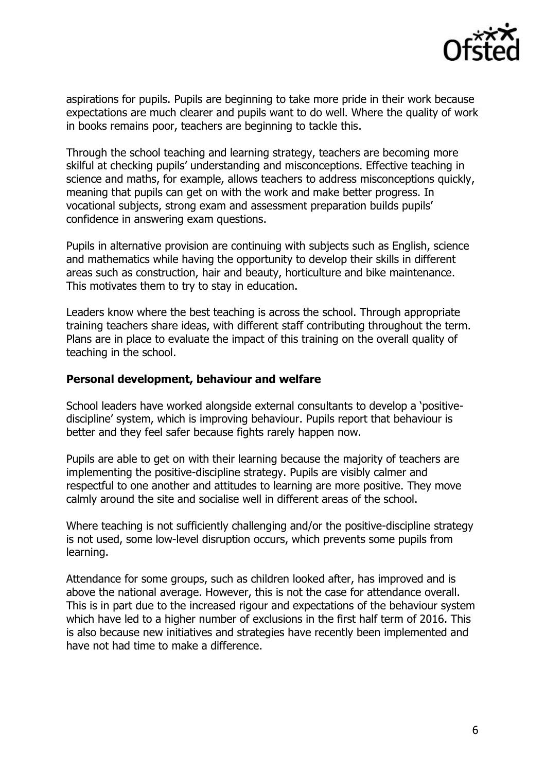

aspirations for pupils. Pupils are beginning to take more pride in their work because expectations are much clearer and pupils want to do well. Where the quality of work in books remains poor, teachers are beginning to tackle this.

Through the school teaching and learning strategy, teachers are becoming more skilful at checking pupils' understanding and misconceptions. Effective teaching in science and maths, for example, allows teachers to address misconceptions quickly, meaning that pupils can get on with the work and make better progress. In vocational subjects, strong exam and assessment preparation builds pupils' confidence in answering exam questions.

Pupils in alternative provision are continuing with subjects such as English, science and mathematics while having the opportunity to develop their skills in different areas such as construction, hair and beauty, horticulture and bike maintenance. This motivates them to try to stay in education.

Leaders know where the best teaching is across the school. Through appropriate training teachers share ideas, with different staff contributing throughout the term. Plans are in place to evaluate the impact of this training on the overall quality of teaching in the school.

#### **Personal development, behaviour and welfare**

School leaders have worked alongside external consultants to develop a 'positivediscipline' system, which is improving behaviour. Pupils report that behaviour is better and they feel safer because fights rarely happen now.

Pupils are able to get on with their learning because the majority of teachers are implementing the positive-discipline strategy. Pupils are visibly calmer and respectful to one another and attitudes to learning are more positive. They move calmly around the site and socialise well in different areas of the school.

Where teaching is not sufficiently challenging and/or the positive-discipline strategy is not used, some low-level disruption occurs, which prevents some pupils from learning.

Attendance for some groups, such as children looked after, has improved and is above the national average. However, this is not the case for attendance overall. This is in part due to the increased rigour and expectations of the behaviour system which have led to a higher number of exclusions in the first half term of 2016. This is also because new initiatives and strategies have recently been implemented and have not had time to make a difference.